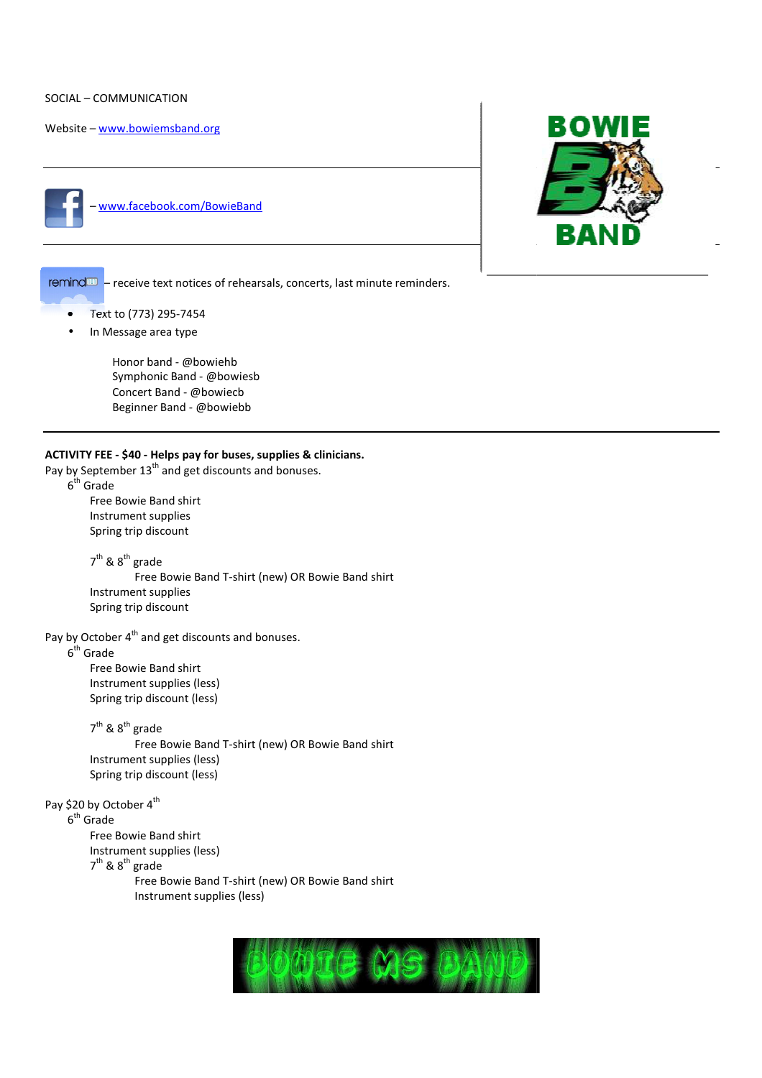### SOCIAL – COMMUNICATION

Website – www.bowiemsband.org



– www.facebook.com/BowieBand



remind<sup>100</sup> - receive text notices of rehearsals, concerts, last minute reminders.

- Text to (773) 295-7454
- In Message area type

Honor band - @bowiehb Symphonic Band - @bowiesb Concert Band - @bowiecb Beginner Band - @bowiebb

## **ACTIVITY FEE - \$40 - Helps pay for buses, supplies & clinicians.**

Pay by September  $13^{th}$  and get discounts and bonuses.  $6<sup>th</sup>$  Grade

 Free Bowie Band shirt Instrument supplies Spring trip discount

7<sup>th</sup> & 8<sup>th</sup> grade Free Bowie Band T-shirt (new) OR Bowie Band shirt Instrument supplies Spring trip discount

Pay by October  $4<sup>th</sup>$  and get discounts and bonuses.

 $6<sup>th</sup>$  Grade

 Free Bowie Band shirt Instrument supplies (less) Spring trip discount (less)

7<sup>th</sup> & 8<sup>th</sup> grade Free Bowie Band T-shirt (new) OR Bowie Band shirt Instrument supplies (less) Spring trip discount (less) shirt<br>and ł<br>shirt

Pay \$20 by October 4<sup>th</sup>

 $6<sup>th</sup>$  Grade

Free Bowie Band shirt

Instrument supplies (less)

7<sup>th</sup> & 8<sup>th</sup> grade

Free Bowie Band T-shirt (new) OR Bowie Band shirt Instrument supplies (less)